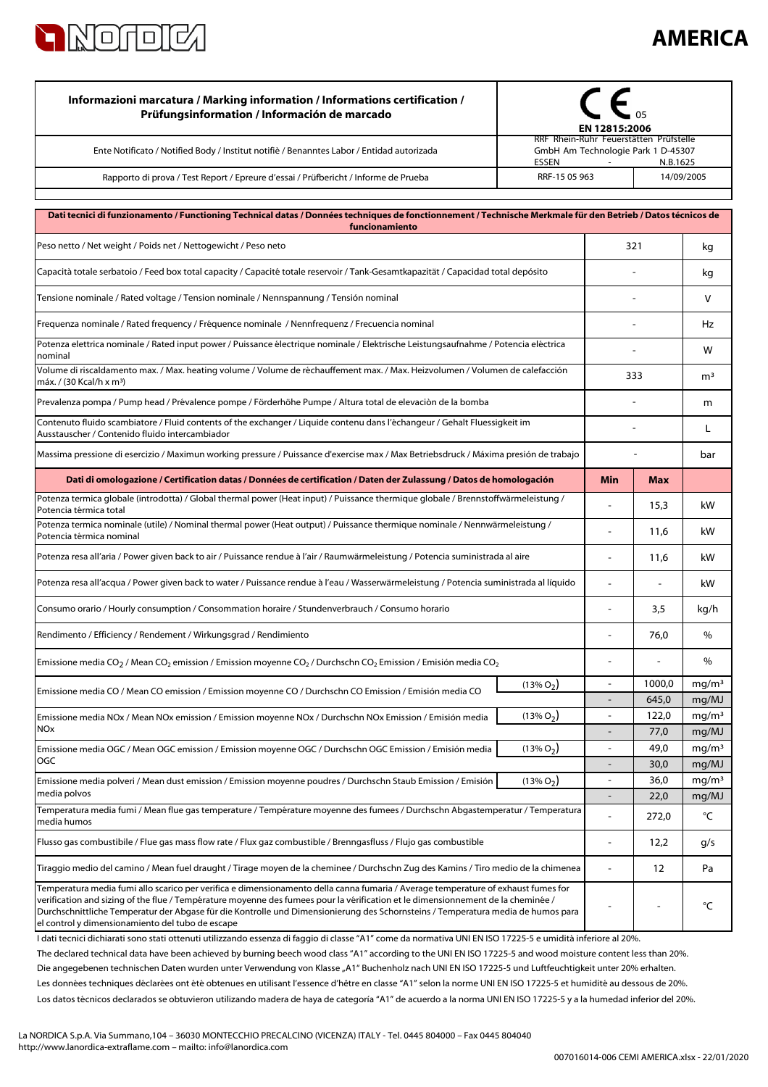

## **AMERICA**

| Informazioni marcatura / Marking information / Informations certification /<br>Prüfungsinformation / Información de marcado<br>Ente Notificato / Notified Body / Institut notifiè / Benanntes Labor / Entidad autorizada                                                                                                                                                                                                                                      | EN 12815:2006<br>RRF Rhein-Ruhr Feuerstätten Prüfstelle<br>GmbH Am Technologie Park 1 D-45307 |                          |                |                            |
|---------------------------------------------------------------------------------------------------------------------------------------------------------------------------------------------------------------------------------------------------------------------------------------------------------------------------------------------------------------------------------------------------------------------------------------------------------------|-----------------------------------------------------------------------------------------------|--------------------------|----------------|----------------------------|
| Rapporto di prova / Test Report / Epreure d'essai / Prüfbericht / Informe de Prueba                                                                                                                                                                                                                                                                                                                                                                           | ESSEN<br>N.B.1625<br>$\sim$<br>RRF-15 05 963<br>14/09/2005                                    |                          |                |                            |
|                                                                                                                                                                                                                                                                                                                                                                                                                                                               |                                                                                               |                          |                |                            |
| Dati tecnici di funzionamento / Functioning Technical datas / Données techniques de fonctionnement / Technische Merkmale für den Betrieb / Datos técnicos de<br>funcionamiento                                                                                                                                                                                                                                                                                |                                                                                               |                          |                |                            |
| Peso netto / Net weight / Poids net / Nettogewicht / Peso neto                                                                                                                                                                                                                                                                                                                                                                                                | 321                                                                                           |                          |                | kg                         |
| Capacità totale serbatoio / Feed box total capacity / Capacité totale reservoir / Tank-Gesamtkapazität / Capacidad total depósito                                                                                                                                                                                                                                                                                                                             |                                                                                               |                          |                | kg                         |
| Tensione nominale / Rated voltage / Tension nominale / Nennspannung / Tensión nominal                                                                                                                                                                                                                                                                                                                                                                         |                                                                                               |                          |                | v                          |
| Frequenza nominale / Rated frequency / Fréquence nominale / Nennfrequenz / Frecuencia nominal                                                                                                                                                                                                                                                                                                                                                                 |                                                                                               |                          |                |                            |
| Potenza elettrica nominale / Rated input power / Puissance électrique nominale / Elektrische Leistungsaufnahme / Potencia eléctrica<br>nominal                                                                                                                                                                                                                                                                                                                |                                                                                               |                          |                | w                          |
| Volume di riscaldamento max. / Max. heating volume / Volume de réchauffement max. / Max. Heizvolumen / Volumen de calefacción<br>máx. / (30 Kcal/h x m <sup>3</sup> )                                                                                                                                                                                                                                                                                         |                                                                                               | 333                      |                | m <sup>3</sup>             |
| Prevalenza pompa / Pump head / Prévalence pompe / Förderhöhe Pumpe / Altura total de elevaciòn de la bomba                                                                                                                                                                                                                                                                                                                                                    |                                                                                               |                          |                | m                          |
| Contenuto fluido scambiatore / Fluid contents of the exchanger / Liquide contenu dans l'échangeur / Gehalt Fluessigkeit im<br>Ausstauscher / Contenido fluido intercambiador                                                                                                                                                                                                                                                                                  |                                                                                               |                          |                | L                          |
| Massima pressione di esercizio / Maximun working pressure / Puissance d'exercise max / Max Betriebsdruck / Máxima presión de trabajo                                                                                                                                                                                                                                                                                                                          |                                                                                               |                          |                | bar                        |
| Dati di omologazione / Certification datas / Données de certification / Daten der Zulassung / Datos de homologación                                                                                                                                                                                                                                                                                                                                           |                                                                                               | Min                      | <b>Max</b>     |                            |
| Potenza termica globale (introdotta) / Global thermal power (Heat input) / Puissance thermique globale / Brennstoffwärmeleistung /<br>Potencia térmica total                                                                                                                                                                                                                                                                                                  |                                                                                               |                          | 15,3           | kW                         |
| Potenza termica nominale (utile) / Nominal thermal power (Heat output) / Puissance thermique nominale / Nennwärmeleistung /<br>Potencia térmica nominal                                                                                                                                                                                                                                                                                                       |                                                                                               | $\blacksquare$           | 11,6           | kW                         |
| Potenza resa all'aria / Power given back to air / Puissance rendue à l'air / Raumwärmeleistung / Potencia suministrada al aire                                                                                                                                                                                                                                                                                                                                |                                                                                               |                          | 11,6           | kW                         |
| Potenza resa all'acqua / Power given back to water / Puissance rendue à l'eau / Wasserwärmeleistung / Potencia suministrada al líquido                                                                                                                                                                                                                                                                                                                        |                                                                                               | $\overline{a}$           | $\blacksquare$ | kW                         |
| Consumo orario / Hourly consumption / Consommation horaire / Stundenverbrauch / Consumo horario                                                                                                                                                                                                                                                                                                                                                               |                                                                                               |                          | 3,5            | kg/h                       |
| Rendimento / Efficiency / Rendement / Wirkungsgrad / Rendimiento                                                                                                                                                                                                                                                                                                                                                                                              |                                                                                               |                          | 76,0           | $\%$                       |
| Emissione media CO <sub>2</sub> / Mean CO <sub>2</sub> emission / Emission moyenne CO <sub>2</sub> / Durchschn CO <sub>2</sub> Emission / Emisión media CO <sub>2</sub>                                                                                                                                                                                                                                                                                       |                                                                                               |                          |                | %                          |
| Emissione media CO / Mean CO emission / Emission moyenne CO / Durchschn CO Emission / Emisión media CO                                                                                                                                                                                                                                                                                                                                                        | $(13\% O2)$                                                                                   | $\blacksquare$           | 1000,0         | mg/m <sup>3</sup>          |
| Emissione media NOx / Mean NOx emission / Emission moyenne NOx / Durchschn NOx Emission / Emisión media                                                                                                                                                                                                                                                                                                                                                       | $(13\% O_2)$                                                                                  | $\overline{\phantom{a}}$ | 645,0<br>122,0 | mg/MJ<br>mg/m <sup>3</sup> |
| <b>NO<sub>x</sub></b>                                                                                                                                                                                                                                                                                                                                                                                                                                         |                                                                                               |                          | 77,0           | mg/MJ                      |
| Emissione media OGC / Mean OGC emission / Emission moyenne OGC / Durchschn OGC Emission / Emisión media<br><b>OGC</b>                                                                                                                                                                                                                                                                                                                                         | $(13\% O2)$                                                                                   | $\overline{\phantom{a}}$ | 49,0           | mg/m <sup>3</sup>          |
| Emissione media polveri / Mean dust emission / Emission moyenne poudres / Durchschn Staub Emission / Emisión                                                                                                                                                                                                                                                                                                                                                  | $(13\% O2)$                                                                                   | $\blacksquare$           | 30,0<br>36,0   | mg/MJ<br>mg/m <sup>3</sup> |
| media polvos                                                                                                                                                                                                                                                                                                                                                                                                                                                  |                                                                                               |                          | 22,0           | mq/MJ                      |
| Temperatura media fumi / Mean flue gas temperature / Température moyenne des fumees / Durchschn Abgastemperatur / Temperatura<br>media humos                                                                                                                                                                                                                                                                                                                  |                                                                                               |                          | 272,0          | °C                         |
| Flusso gas combustibile / Flue gas mass flow rate / Flux gaz combustible / Brenngasfluss / Flujo gas combustible                                                                                                                                                                                                                                                                                                                                              |                                                                                               |                          | 12,2           | g/s                        |
| Tiraggio medio del camino / Mean fuel draught / Tirage moyen de la cheminee / Durchschn Zug des Kamins / Tiro medio de la chimenea                                                                                                                                                                                                                                                                                                                            |                                                                                               |                          | 12             | Pa                         |
| Temperatura media fumi allo scarico per verifica e dimensionamento della canna fumaria / Average temperature of exhaust fumes for<br>verification and sizing of the flue / Température moyenne des fumees pour la vérification et le dimensionnement de la cheminée /<br>Durchschnittliche Temperatur der Abgase für die Kontrolle und Dimensionierung des Schornsteins / Temperatura media de humos para<br>el control y dimensionamiento del tubo de escape |                                                                                               |                          |                | °C                         |

Los datos técnicos declarados se obtuvieron utilizando madera de haya de categoría "A1" de acuerdo a la norma UNI EN ISO 17225-5 y a la humedad inferior del 20%. Les données techniques déclarées ont été obtenues en utilisant l'essence d'hêtre en classe "A1" selon la norme UNI EN ISO 17225-5 et humidité au dessous de 20%. I dati tecnici dichiarati sono stati ottenuti utilizzando essenza di faggio di classe "A1" come da normativa UNI EN ISO 17225-5 e umidità inferiore al 20%. Die angegebenen technischen Daten wurden unter Verwendung von Klasse "A1" Buchenholz nach UNI EN ISO 17225-5 und Luftfeuchtigkeit unter 20% erhalten. The declared technical data have been achieved by burning beech wood class "A1" according to the UNI EN ISO 17225-5 and wood moisture content less than 20%.